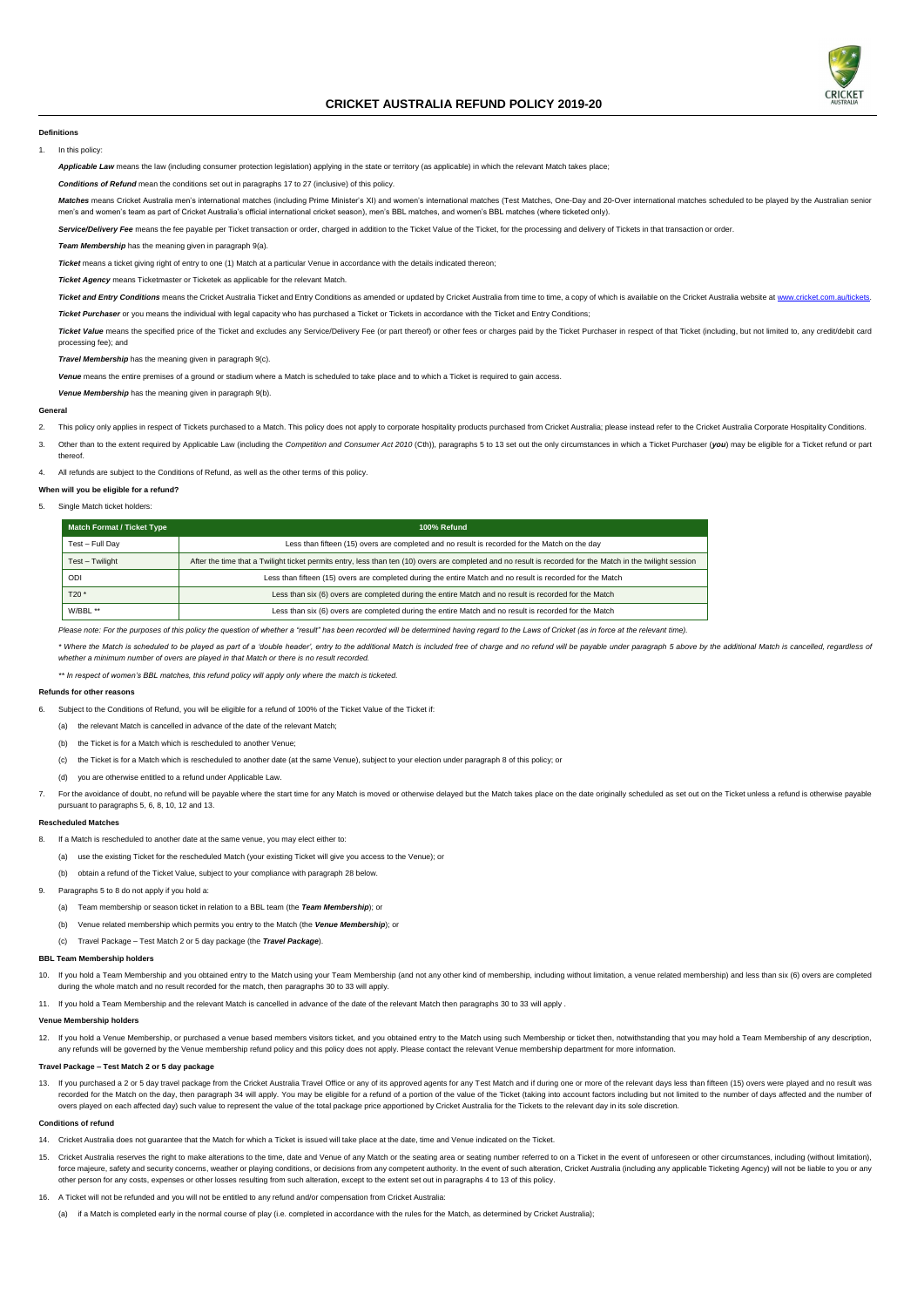

# **CRICKET AUSTRALIA REFUND POLICY 2019-20**

#### **Definitions**

1. In this policy:

Applicable Law means the law (including consumer protection legislation) applying in the state or territory (as applicable) in which the relevant Match takes place;

*Conditions of Refund* mean the conditions set out in paragraph[s 17](#page-1-0) t[o 27](#page-1-1) (inclusive) of this policy.

Matches means Cricket Australia men's international matches (including Prime Minister's XI) and women's international matches (Test Matches, One-Day and 20-Over international matches scheduled to be played by the Australia men's and women's team as part of Cricket Australia's official international cricket season), men's BBL matches, and women's BBL matches (where ticketed only).

Service/Delivery Fee means the fee payable per Ticket transaction or order, charged in addition to the Ticket Value of the Ticket, for the processing and delivery of Tickets in that transaction or order.

Ticket Value means the specified price of the Ticket and excludes any Service/Delivery Fee (or part thereof) or other fees or charges paid by the Ticket Purchaser in respect of that Ticket (including, but not limited to, a processing fee); and

*Team Membership* has the meaning given in paragrap[h 9\(a\).](#page-0-0)

*Ticket* means a ticket giving right of entry to one (1) Match at a particular Venue in accordance with the details indicated thereon;

*Ticket Agency* means Ticketmaster or Ticketek as applicable for the relevant Match.

Ticket and Entry Conditions means the Cricket Australia Ticket and Entry Conditions as amended or updated by Cricket Australia from time to time, a copy of which is available on the Cricket Australia website at www.cricket

- This policy only applies in respect of Tickets purchased to a Match. This policy does not apply to corporate hospitality products purchased from Cricket Australia; please instead refer to the Cricket Australia Corporate Ho
- 3. Other than to the extent required by Applicable Law (including the Competition and Consumer Act 2010 (Cth)), paragraph[s 5](#page-0-3) t[o 13](#page-0-4) set out the only circumstances in which a Ticket Purchaser (you) may be eligible for a Tick thereof.

*Ticket Purchaser* or you means the individual with legal capacity who has purchased a Ticket or Tickets in accordance with the Ticket and Entry Conditions;

*Travel Membership* has the meaning given in paragrap[h 9\(c\).](#page-0-1)

\* Where the Match is scheduled to be played as part of a 'double header', entry to the additional Match is included free of charge and no refund will be payable under paragraph [5](#page-0-3) above by the additional Match is cancelled, *whether a minimum number of overs are played in that Match or there is no result recorded.*

*Venue* means the entire premises of a ground or stadium where a Match is scheduled to take place and to which a Ticket is required to gain access.

*Venue Membership* has the meaning given in paragrap[h 9\(b\).](#page-0-2)

#### **General**

<span id="page-0-9"></span>4. All refunds are subject to the Conditions of Refund, as well as the other terms of this policy.

#### **When will you be eligible for a refund?**

## <span id="page-0-3"></span>5. Single Match ticket holders:

- <span id="page-0-7"></span>10. If you hold a Team Membership and you obtained entry to the Match using your Team Membership (and not any other kind of membership, including without limitation, a venue related membership) and less than six (6) overs
	- suit recorded for the match, then paragraph[s 30](#page-1-3) to [33](#page-1-4) will apply.
- <span id="page-0-11"></span>11. If you hold a Team Membership and the relevant Match is cancelled in advance of the date of the relevant Match then paragraph[s 30](#page-1-3) to [33](#page-1-4) will apply .

| <b>Match Format / Ticket Type</b> | 100% Refund                                                                                                                                                 |  |
|-----------------------------------|-------------------------------------------------------------------------------------------------------------------------------------------------------------|--|
| Test - Full Day                   | Less than fifteen (15) overs are completed and no result is recorded for the Match on the day                                                               |  |
| Test - Twilight                   | After the time that a Twilight ticket permits entry, less than ten (10) overs are completed and no result is recorded for the Match in the twilight session |  |
| ODI                               | Less than fifteen (15) overs are completed during the entire Match and no result is recorded for the Match                                                  |  |
| $T20*$                            | Less than six (6) overs are completed during the entire Match and no result is recorded for the Match                                                       |  |
| W/BBL **                          | Less than six (6) overs are completed during the entire Match and no result is recorded for the Match                                                       |  |

*Please note: For the purposes of this policy the question of whether a "result" has been recorded will be determined having regard to the Laws of Cricket (as in force at the relevant time).*

<span id="page-0-4"></span>13. If you purchased a 2 or 5 day travel package from the Cricket Australia Travel Office or any of its approved agents for any Test Match and if during one or more of the relevant days less than fifteen (15) overs were pl recorded for the Match on the day, then paragraph [34](#page-1-5) will apply. You may be eligible for a refund of a portion of the value of the Ticket (taking into account factors including but not limited to the number of days affecte overs played on each affected day) such value to represent the value of the total package price apportioned by Cricket Australia for the Tickets to the relevant day in its sole discretion.

*\*\* In respect of women's BBL matches, this refund policy will apply only where the match is ticketed.*

#### **Refunds for other reasons**

- <span id="page-0-6"></span>6. Subject to the Conditions of Refund, you will be eligible for a refund of 100% of the Ticket Value of the Ticket if:
	- (a) the relevant Match is cancelled in advance of the date of the relevant Match;
	- (b) the Ticket is for a Match which is rescheduled to another Venue;
	- (c) the Ticket is for a Match which is rescheduled to another date (at the same Venue), subject to your election under paragraph [8](#page-0-5) of this policy; or
	- (d) you are otherwise entitled to a refund under Applicable Law.
- For the avoidance of doubt, no refund will be payable where the start time for any Match is moved or otherwise delayed but the Match takes place on the date originally scheduled as set out on the Ticket unless a refund is pursuant to paragraphs [5,](#page-0-3) [6,](#page-0-6) [8,](#page-0-5) [10,](#page-0-7) [12](#page-0-8) and [13.](#page-0-4)

#### **Rescheduled Matches**

- <span id="page-0-5"></span>8. If a Match is rescheduled to another date at the same venue, you may elect either to:
	- (a) use the existing Ticket for the rescheduled Match (your existing Ticket will give you access to the Venue); or
	- (b) obtain a refund of the Ticket Value, subject to your compliance with paragrap[h 28](#page-1-2) below.
- <span id="page-0-10"></span><span id="page-0-2"></span><span id="page-0-0"></span>Paragraph[s 5](#page-0-3) t[o 8](#page-0-5) do not apply if you hold a:
	- (a) Team membership or season ticket in relation to a BBL team (the *Team Membership*); or
	- (b) Venue related membership which permits you entry to the Match (the *Venue Membership*); or
	- (c) Travel Package Test Match 2 or 5 day package (the *Travel Package*).

## <span id="page-0-1"></span>**BBL Team Membership holders**

### **Venue Membership holders**

<span id="page-0-8"></span>12. If you hold a Venue Membership, or purchased a venue based members visitors ticket, and you obtained entry to the Match using such Membership or ticket then, notwithstanding that you may hold a Team Membership of any d any refunds will be governed by the Venue membership refund policy and this policy does not apply. Please contact the relevant Venue membership department for more information.

#### **Travel Package – Test Match 2 or 5 day package**

#### **Conditions of refund**

- 14. Cricket Australia does not guarantee that the Match for which a Ticket is issued will take place at the date, time and Venue indicated on the Ticket.
- 15. Cricket Australia reserves the right to make alterations to the time, date and Venue of any Match or the seating area or seating number referred to on a Ticket in the event of unforeseen or other circumstances, includi force majeure, safety and security concerns, weather or playing conditions, or decisions from any competent authority. In the event of such alteration, Cricket Australia (including any applicable Ticketing Agency) will not other person for any costs, expenses or other losses resulting from such alteration, except to the extent set out in paragraph[s 4](#page-0-9) t[o 13](#page-0-4) of this policy.
- 16. A Ticket will not be refunded and you will not be entitled to any refund and/or compensation from Cricket Australia:
	- (a) if a Match is completed early in the normal course of play (i.e. completed in accordance with the rules for the Match, as determined by Cricket Australia);